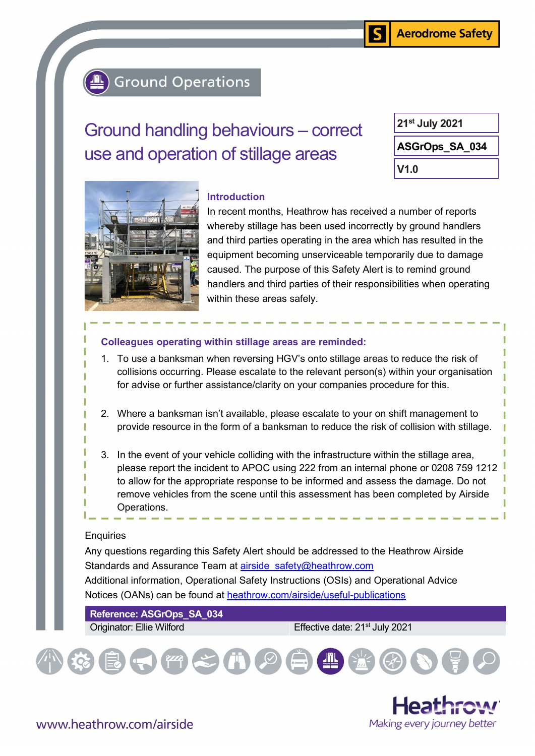S

## **Ground Operations**

# Ground handling behaviours – correct use and operation of stillage areas

| 21 <sup>st</sup> July 2021 |
|----------------------------|
| ASGrOps_SA_034             |
| V1.0                       |



#### Introduction

In recent months, Heathrow has received a number of reports whereby stillage has been used incorrectly by ground handlers and third parties operating in the area which has resulted in the equipment becoming unserviceable temporarily due to damage caused. The purpose of this Safety Alert is to remind ground handlers and third parties of their responsibilities when operating within these areas safely.

#### Colleagues operating within stillage areas are reminded:

- 1. To use a banksman when reversing HGV's onto stillage areas to reduce the risk of collisions occurring. Please escalate to the relevant person(s) within your organisation for advise or further assistance/clarity on your companies procedure for this.
- 2. Where a banksman isn't available, please escalate to your on shift management to provide resource in the form of a banksman to reduce the risk of collision with stillage.
- 3. In the event of your vehicle colliding with the infrastructure within the stillage area, please report the incident to APOC using 222 from an internal phone or 0208 759 1212 to allow for the appropriate response to be informed and assess the damage. Do not remove vehicles from the scene until this assessment has been completed by Airside Operations.

### **Enquiries**

Any questions regarding this Safety Alert should be addressed to the Heathrow Airside Standards and Assurance Team at airside safety@heathrow.com Additional information, Operational Safety Instructions (OSIs) and Operational Advice Notices (OANs) can be found at heathrow.com/airside/useful-publications

Reference: ASGrOps\_SA\_034

Originator: Ellie Wilford **Effective date: 21<sup>st</sup> July 2021** 



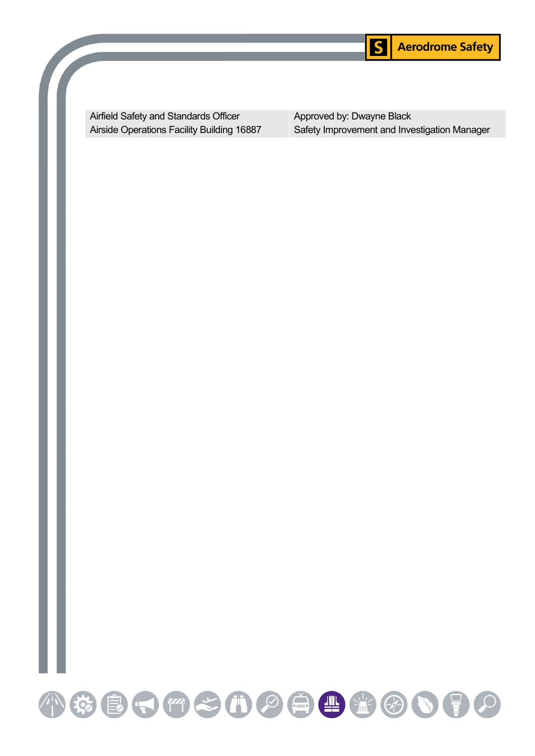

Airfield Safety and Standards Officer Airside Operations Facility Building 16887 Approved by: Dwayne Black Safety Improvement and Investigation Manager